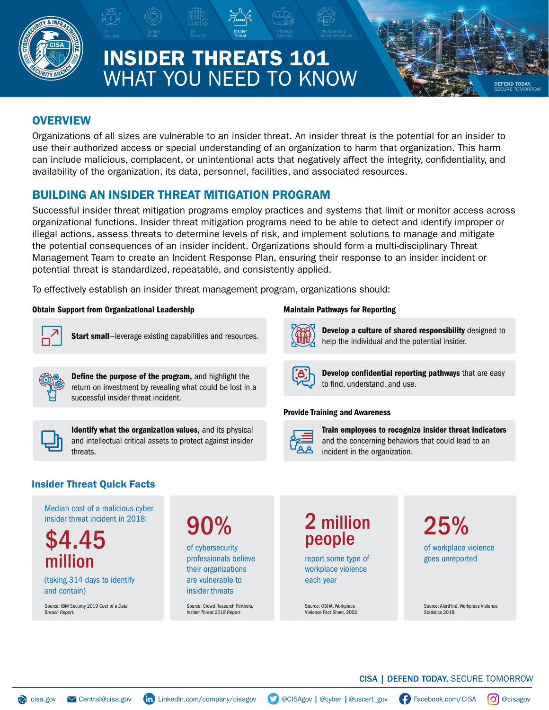

# INSIDER THREATS 101 WHAT YOU NEED TO KNOW

Insider Threat

# **OVERVIEW**

Organizations of all sizes are vulnerable to an insider threat. An insider threat is the potential for an insider to use their authorized access or special understanding of an organization to harm that organization. This harm can include malicious, complacent, or unintentional acts that negatively affect the integrity, confidentiality, and availability of the organization, its data, personnel, facilities, and associated resources.

OT **Insider** Physical Interoperable Communications Physical Security Communications

# BUILDING AN INSIDER THREAT MITIGATION PROGRAM

Successful insider threat mitigation programs employ practices and systems that limit or monitor access across organizational functions. Insider threat mitigation programs need to be able to detect and identify improper or illegal actions, assess threats to determine levels of risk, and implement solutions to manage and mitigate the potential consequences of an insider incident. Organizations should form a multi-disciplinary Threat Management Team to create an Incident Response Plan, ensuring their response to an insider incident or potential threat is standardized, repeatable, and consistently applied.

To effectively establish an insider threat management program, organizations should:

### Obtain Support from Organizational Leadership



Start small-leverage existing capabilities and resources.



Define the purpose of the program, and highlight the return on investment by revealing what could be lost in a successful insider threat incident.



Identify what the organization values, and its physical and intellectual critical assets to protect against insider threats.

### Maintain Pathways for Reporting



Develop a culture of shared responsibility designed to help the individual and the potential insider.

DEFEND TODAY, SECURE TOMORROW



Develop confidential reporting pathways that are easy to find, understand, and use.

### Provide Training and Awareness



Train employees to recognize insider threat indicators and the concerning behaviors that could lead to an incident in the organization.

## Insider Threat Quick Facts

Median cost of a malicious cyber insider threat incident in 2018:

\$4.45 million

(taking 314 days to identify and contain)

Source: IBM Security 2019 *Cost of a Data Breach Report.*

90%

of cybersecurity professionals believe their organizations are vulnerable to insider threats

Source: Crowd Research Partners, *Insider Threat 2018 Report*.

# 2 million people

report some type of workplace violence each year

Source: OSHA, Workplace Violence Fact Sheet, 2002. 25%

of workplace violence goes unreported

Source: AlertFind, Workplace Violence Statistics 2018.

### CISA | DEFEND TODAY, SECURE TOMORROW

Coisa.gov Central@[cisa.gov](http://cisa.gov) (in [LinkedIn.com/company/cisagov](http://www.LinkedIn.com/company/cisagov) | CISAgov | [@cyber](http://www.twitter.com/cyber) | [@uscert\\_gov](http://www.twitter.com/uscert_gov) (F) [Facebook.com/CISA](http://www.facebook.com/CISA) (O) [@cisagov](http://instagram.com/cisa)